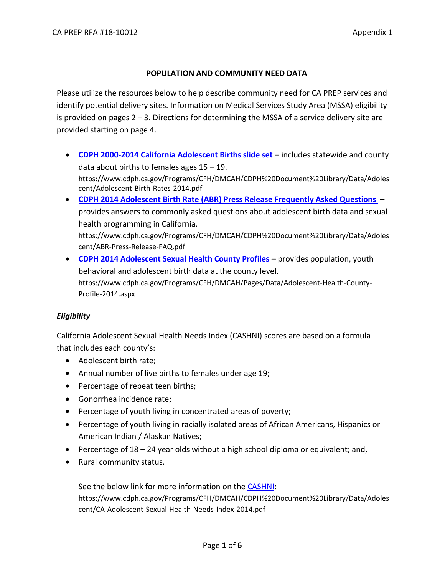## **POPULATION AND COMMUNITY NEED DATA**

Please utilize the resources below to help describe community need for CA PREP services and identify potential delivery sites. Information on Medical Services Study Area (MSSA) eligibility is provided on pages  $2 - 3$ . Directions for determining the MSSA of a service delivery site are provided starting on page 4.

- **[CDPH 2000-2014 California Adolescent Births slide set](https://www.cdph.ca.gov/Programs/CFH/DMCAH/CDPH%20Document%20Library/Data/Adolescent/Adolescent-Birth-Rates-2014.pdf)** includes statewide and county data about births to females ages 15 – 19. https://www.cdph.ca.gov/Programs/CFH/DMCAH/CDPH%20Document%20Library/Data/Adoles cent/Adolescent-Birth-Rates-2014.pdf
- **[CDPH 2014 Adolescent Birth Rate \(ABR\) Press Release Frequently Asked Questions](https://www.cdph.ca.gov/Programs/CFH/DMCAH/CDPH%20Document%20Library/Data/Adolescent/ABR-Press-Release-FAQ.pdf)**  provides answers to commonly asked questions about adolescent birth data and sexual health programming in California. https://www.cdph.ca.gov/Programs/CFH/DMCAH/CDPH%20Document%20Library/Data/Adoles cent/ABR-Press-Release-FAQ.pdf
- **[CDPH 2014 Adolescent Sexual Health County Profiles](https://www.cdph.ca.gov/Programs/CFH/DMCAH/Pages/Data/Adolescent-Health-County-Profile-2014.aspx)** provides population, youth behavioral and adolescent birth data at the county level. https://www.cdph.ca.gov/Programs/CFH/DMCAH/Pages/Data/Adolescent-Health-County-Profile-2014.aspx

## *Eligibility*

California Adolescent Sexual Health Needs Index (CASHNI) scores are based on a formula that includes each county's:

- Adolescent birth rate;
- Annual number of live births to females under age 19;
- Percentage of repeat teen births;
- Gonorrhea incidence rate;
- Percentage of youth living in concentrated areas of poverty;
- Percentage of youth living in racially isolated areas of African Americans, Hispanics or American Indian / Alaskan Natives;
- **Percentage of 18 24 year olds without a high school diploma or equivalent; and,**
- Rural community status.

See the below link for more information on the [CASHNI:](https://www.cdph.ca.gov/Programs/CFH/DMCAH/CDPH%20Document%20Library/Data/Adolescent/CA-Adolescent-Sexual-Health-Needs-Index-2014.pdf) https://www.cdph.ca.gov/Programs/CFH/DMCAH/CDPH%20Document%20Library/Data/Adoles cent/CA-Adolescent-Sexual-Health-Needs-Index-2014.pdf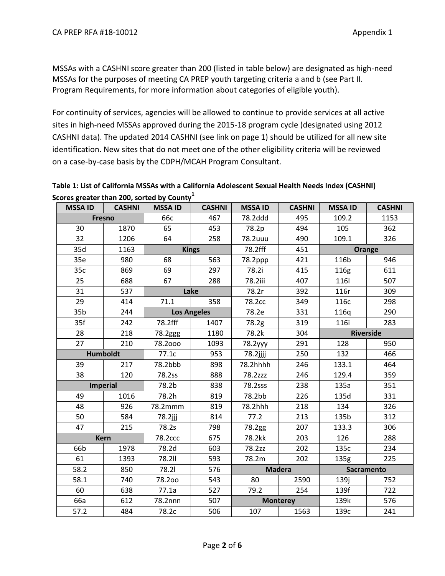MSSAs with a CASHNI score greater than 200 (listed in table below) are designated as high-need MSSAs for the purposes of meeting CA PREP youth targeting criteria a and b (see Part II. Program Requirements, for more information about categories of eligible youth).

For continuity of services, agencies will be allowed to continue to provide services at all active sites in high-need MSSAs approved during the 2015-18 program cycle (designated using 2012 CASHNI data). The updated 2014 CASHNI (see link on page 1) should be utilized for all new site identification. New sites that do not meet one of the other eligibility criteria will be reviewed on a case-by-case basis by the CDPH/MCAH Program Consultant.

**Table 1: List of California MSSAs with a California Adolescent Sexual Health Needs Index (CASHNI) Scores greater than 200, sorted by County<sup>1</sup>**

| <b>MSSA ID</b>  | <b>CASHNI</b>   | <b>MSSA ID</b>  | <b>CASHNI</b>      | <b>MSSA ID</b> | <b>CASHNI</b>   | <b>MSSA ID</b>   | <b>CASHNI</b> |
|-----------------|-----------------|-----------------|--------------------|----------------|-----------------|------------------|---------------|
| <b>Fresno</b>   |                 | <b>66с</b>      | 467                | 78.2ddd        | 495             | 109.2            | 1153          |
| 30              | 1870            | 65              | 453                | 78.2p          | 494             | 105              | 362           |
| 32              | 1206            | 64              | 258                | 78.2uuu        | 490             | 109.1            | 326           |
| 35d             | 1163            | <b>Kings</b>    |                    | 78.2fff        | 451             | Orange           |               |
| 35e             | 980             | 68              | 563                | 78.2ppp        | 421             | 116b             | 946           |
| 35c             | 869             | 69              | 297                | 78.2i          | 415             | 116g             | 611           |
| 25              | 688             | 67              | 288                | 78.2iii        | 407             | 116              | 507           |
| 31              | 537             | Lake            |                    | 78.2r          | 392             | 116r             | 309           |
| 29              | 414             | 71.1            | 358                | 78.2cc         | 349             | 116c             | 298           |
| 35 <sub>b</sub> | 244             |                 | <b>Los Angeles</b> | 78.2e          | 331             | 116q             | 290           |
| 35f             | 242             | 78.2fff         | 1407               | 78.2g          | 319             | 116i             | 283           |
| 28              | 218             | 78.2ggg<br>1180 |                    | 78.2k          | 304             | <b>Riverside</b> |               |
| 27              | 210             | 78.2000         | 1093               | 78.2yyy        | 291             | 128              | 950           |
|                 | <b>Humboldt</b> |                 | 953                | $78.2$ jjjj    | 250             | 132              | 466           |
| 39              | 217             | 78.2bbb         | 898                | 78.2hhhh       | 246             | 133.1            | 464           |
| 38              | 120             | 78.2ss          | 888                | 78.2zzz        | 246             | 129.4            | 359           |
|                 | <b>Imperial</b> |                 | 838                | 78.2sss        | 238             | 135a             | 351           |
| 49              | 1016            | 78.2h           | 819                | 78.2bb         | 226             | 135d             | 331           |
| 48              | 926             | 78.2mmm         | 819                | 78.2hhh        | 218             | 134              | 326           |
| 50              | 584             | 78.2jjj         | 814                | 77.2           | 213             | 135b             | 312           |
| 47              | 215             | 78.2s           | 798                | 78.2gg         | 207             | 133.3            | 306           |
|                 | <b>Kern</b>     | <b>78.2ccc</b>  | 675                | 78.2kk         | 203             | 126              | 288           |
| 66b             | 1978            | 78.2d           | 603                | 78.2zz         | 202             | 135c             | 234           |
| 61              | 1393            | <b>78.2II</b>   | 593                | 78.2m          | 202             | 135 <sub>g</sub> | 225           |
| 58.2            | 850             | 78.21           | 576                | <b>Madera</b>  |                 | Sacramento       |               |
| 58.1            | 740             | 78.200          | 543                | 80             | 2590            | 139j             | 752           |
| 60              | 638             | 77.1a           | 527                | 79.2           | 254             | 139f             | 722           |
| 66a             | 612             | 78.2nnn         | 507                |                | <b>Monterey</b> | 139k             | 576           |
| 57.2            | 484             | 78.2c           | 506                | 107            | 1563            | 139c             | 241           |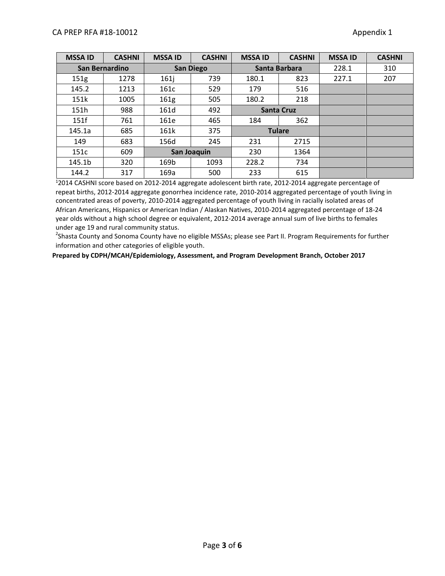| <b>MSSA ID</b> | <b>CASHNI</b>  | <b>MSSA ID</b>   | <b>CASHNI</b>    | <b>MSSA ID</b>    | <b>CASHNI</b> | <b>MSSA ID</b> | <b>CASHNI</b> |
|----------------|----------------|------------------|------------------|-------------------|---------------|----------------|---------------|
|                | San Bernardino |                  | <b>San Diego</b> | Santa Barbara     |               | 228.1          | 310           |
| 151g           | 1278           | 161j             | 739              | 180.1             | 823           | 227.1          | 207           |
| 145.2          | 1213           | 161c             | 529              | 179               | 516           |                |               |
| 151k           | 1005           | 161 <sub>g</sub> | 505              | 180.2             | 218           |                |               |
| 151h           | 988            | 161d             | 492              | <b>Santa Cruz</b> |               |                |               |
| 151f           | 761            | 161e             | 465              | 184               | 362           |                |               |
| 145.1a         | 685            | 161k             | 375              | <b>Tulare</b>     |               |                |               |
| 149            | 683            | 156d             | 245              | 231               | 2715          |                |               |
| 151c           | 609            |                  | San Joaquin      | 230<br>1364       |               |                |               |
| 145.1b         | 320            | 169b             | 1093             | 228.2             | 734           |                |               |
| 144.2          | 317            | 169a             | 500              | 233               | 615           |                |               |

<sup>1</sup>2014 CASHNI score based on 2012-2014 aggregate adolescent birth rate, 2012-2014 aggregate percentage of repeat births, 2012-2014 aggregate gonorrhea incidence rate, 2010-2014 aggregated percentage of youth living in concentrated areas of poverty, 2010-2014 aggregated percentage of youth living in racially isolated areas of African Americans, Hispanics or American Indian / Alaskan Natives, 2010-2014 aggregated percentage of 18-24 year olds without a high school degree or equivalent, 2012-2014 average annual sum of live births to females under age 19 and rural community status.

<sup>2</sup>Shasta County and Sonoma County have no eligible MSSAs; please see Part II. Program Requirements for further information and other categories of eligible youth.

**Prepared by CDPH/MCAH/Epidemiology, Assessment, and Program Development Branch, October 2017**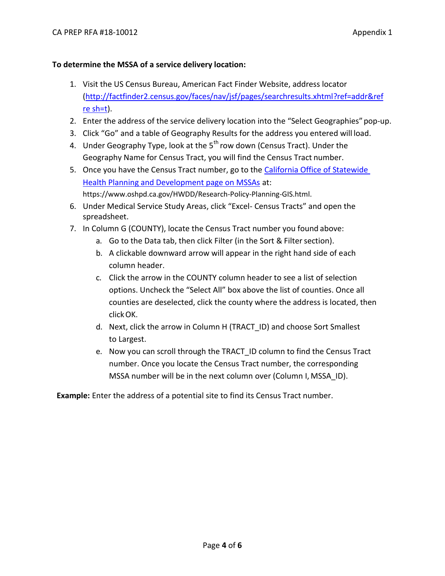## **To determine the MSSA of a service delivery location:**

- 1. Visit the US Census Bureau, American Fact Finder Website, address locator [\(http://factfinder2.census.gov/faces/nav/jsf/pages/searchresults.xhtml?ref=addr&ref](http://factfinder2.census.gov/faces/nav/jsf/pages/searchresults.xhtml?ref=addr&refresh=t) [re](http://factfinder2.census.gov/faces/nav/jsf/pages/searchresults.xhtml?ref=addr&refresh=t) [sh=t\)](http://factfinder2.census.gov/faces/nav/jsf/pages/searchresults.xhtml?ref=addr&refresh=t).
- 2. Enter the address of the service delivery location into the "Select Geographies" pop-up.
- 3. Click "Go" and a table of Geography Results for the address you entered will load.
- 4. Under Geography Type, look at the  $5<sup>th</sup>$  row down (Census Tract). Under the Geography Name for Census Tract, you will find the Census Tract number.
- 5. Once you have the Census Tract number, go to the [California Office of Statewide](https://www.oshpd.ca.gov/HWDD/Research-Policy-Planning-GIS.html)  [Health Planning and Development page on MSSAs](https://www.oshpd.ca.gov/HWDD/Research-Policy-Planning-GIS.html) at: https://www.oshpd.ca.gov/HWDD/Research-Policy-Planning-GIS.html.
- 6. Under Medical Service Study Areas, click "Excel- Census Tracts" and open the spreadsheet.
- 7. In Column G (COUNTY), locate the Census Tract number you found above:
	- a. Go to the Data tab, then click Filter (in the Sort & Filter section).
	- b. A clickable downward arrow will appear in the right hand side of each column header.
	- c. Click the arrow in the COUNTY column header to see a list of selection options. Uncheck the "Select All" box above the list of counties. Once all counties are deselected, click the county where the address is located, then clickOK.
	- d. Next, click the arrow in Column H (TRACT\_ID) and choose Sort Smallest to Largest.
	- e. Now you can scroll through the TRACT\_ID column to find the Census Tract number. Once you locate the Census Tract number, the corresponding MSSA number will be in the next column over (Column I, MSSA\_ID).

**Example:** Enter the address of a potential site to find its Census Tract number.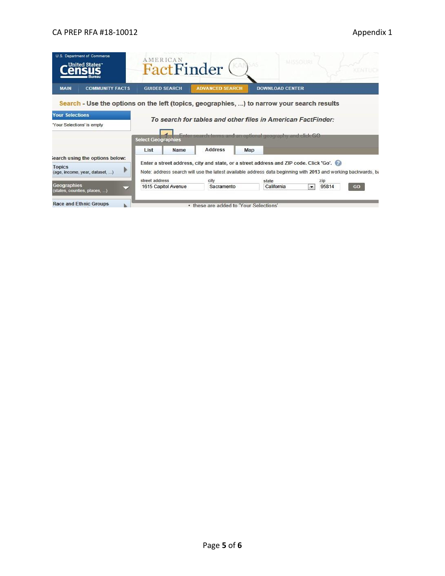|                                                      | U.S. Department of Commerce<br>United States                                               | AMERICAN<br>FactFinder    |                                                                                                                           |                        | MISSOURL |                               | KEMTUO |
|------------------------------------------------------|--------------------------------------------------------------------------------------------|---------------------------|---------------------------------------------------------------------------------------------------------------------------|------------------------|----------|-------------------------------|--------|
| <b>MAIN</b>                                          | <b>COMMUNITY FACTS</b>                                                                     | <b>GUIDED SEARCH</b>      | <b>ADVANCED SEARCH</b>                                                                                                    | <b>DOWNLOAD CENTER</b> |          |                               |        |
| <b>Your Selections</b><br>"Your Selections' is empty | Search - Use the options on the left (topics, geographies, ) to narrow your search results | <b>Select Geographies</b> | To search for tables and other files in American FactFinder:<br>Enter search terms and an optional geography and click GO |                        |          |                               |        |
|                                                      |                                                                                            | List<br><b>Name</b>       | <b>Address</b>                                                                                                            | Map                    |          |                               |        |
|                                                      | iearch using the options below:                                                            |                           | Enter a street address, city and state, or a street address and ZIP code. Click 'Go'.                                     |                        |          |                               |        |
| <b>Topics</b>                                        | (age, income, year, dataset, )                                                             |                           | Note: address search will use the latest available address data beginning with 2013 and working backwards, bi             |                        |          |                               |        |
|                                                      |                                                                                            | street address            | city                                                                                                                      | state                  |          | zip<br>95814<br>GO<br>$\star$ |        |
| Geographies                                          | (states, counties, places, )                                                               | 1615 Capitol Avenue       | Sacramento                                                                                                                | California             |          |                               |        |
|                                                      | <b>Race and Ethnic Groups</b>                                                              |                           | • these are added to 'Your Selections'                                                                                    |                        |          |                               |        |